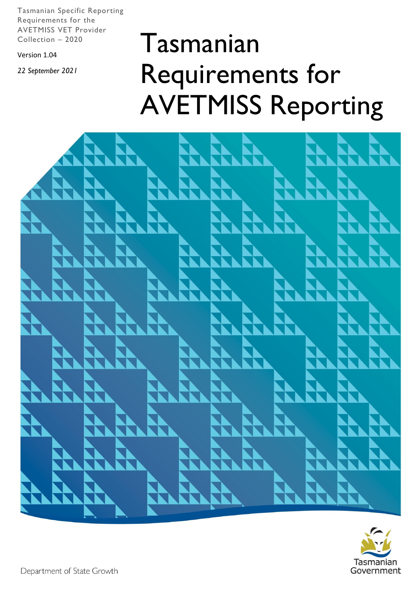Tasmanian Specific Reporting Requirements for the AVETMISS VET Provider Collection – 2020

Version 1.04

*22 September 2021*

# Tasmanian Requirements for AVETMISS Reporting



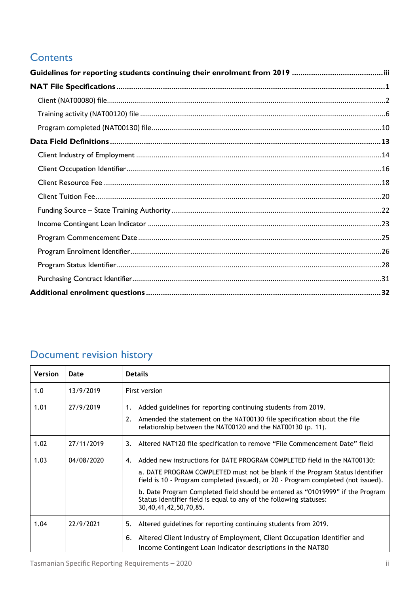# **Contents**

# Document revision history

| <b>Version</b> | Date       | <b>Details</b>                                                                                                                                                                                                                                                                                                                                                                                                                             |
|----------------|------------|--------------------------------------------------------------------------------------------------------------------------------------------------------------------------------------------------------------------------------------------------------------------------------------------------------------------------------------------------------------------------------------------------------------------------------------------|
| 1.0            | 13/9/2019  | First version                                                                                                                                                                                                                                                                                                                                                                                                                              |
| 1.01           | 27/9/2019  | Added guidelines for reporting continuing students from 2019.<br>1.<br>Amended the statement on the NAT00130 file specification about the file<br>2.<br>relationship between the NAT00120 and the NAT00130 (p. 11).                                                                                                                                                                                                                        |
| 1.02           | 27/11/2019 | Altered NAT120 file specification to remove "File Commencement Date" field<br>3.                                                                                                                                                                                                                                                                                                                                                           |
| 1.03           | 04/08/2020 | Added new instructions for DATE PROGRAM COMPLETED field in the NAT00130:<br>4.<br>a. DATE PROGRAM COMPLETED must not be blank if the Program Status Identifier<br>field is 10 - Program completed (issued), or 20 - Program completed (not issued).<br>b. Date Program Completed field should be entered as "01019999" if the Program<br>Status Identifier field is equal to any of the following statuses:<br>30, 40, 41, 42, 50, 70, 85. |
| 1.04           | 22/9/2021  | Altered guidelines for reporting continuing students from 2019.<br>5.<br>Altered Client Industry of Employment, Client Occupation Identifier and<br>6.<br>Income Contingent Loan Indicator descriptions in the NAT80                                                                                                                                                                                                                       |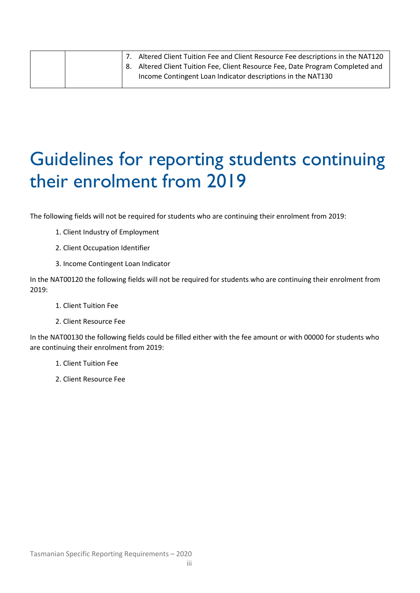|  | Altered Client Tuition Fee and Client Resource Fee descriptions in the NAT120  |
|--|--------------------------------------------------------------------------------|
|  | 8. Altered Client Tuition Fee, Client Resource Fee, Date Program Completed and |
|  | Income Contingent Loan Indicator descriptions in the NAT130                    |

# <span id="page-2-0"></span>Guidelines for reporting students continuing their enrolment from 2019

The following fields will not be required for students who are continuing their enrolment from 2019:

- 1. Client Industry of Employment
- 2. Client Occupation Identifier
- 3. Income Contingent Loan Indicator

In the NAT00120 the following fields will not be required for students who are continuing their enrolment from 2019:

- 1. Client Tuition Fee
- 2. Client Resource Fee

In the NAT00130 the following fields could be filled either with the fee amount or with 00000 for students who are continuing their enrolment from 2019:

- 1. Client Tuition Fee
- 2. Client Resource Fee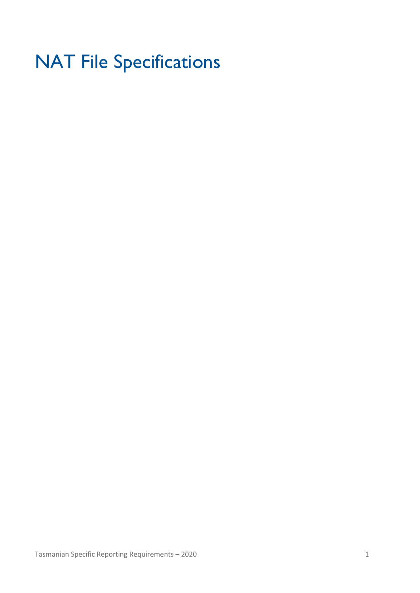# <span id="page-3-0"></span>NAT File Specifications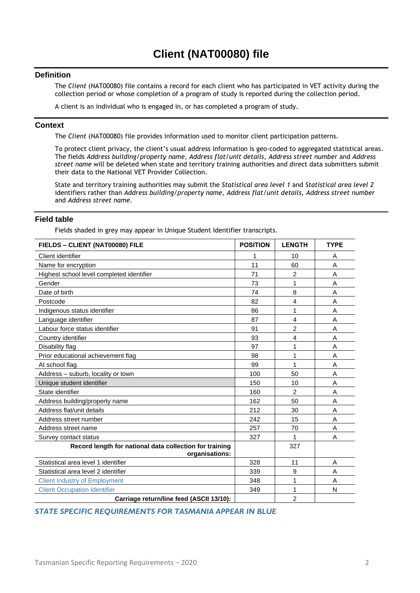#### <span id="page-4-0"></span>**Definition**

The *Client* (NAT00080) file contains a record for each client who has participated in VET activity during the collection period or whose completion of a program of study is reported during the collection period.

A client is an individual who is engaged in, or has completed a program of study.

#### **Context**

The *Client* (NAT00080) file provides information used to monitor client participation patterns.

To protect client privacy, the client's usual address information is geo-coded to aggregated statistical areas. The fields *Address building/property name, Address flat/unit details, Address street number* and *Address street name* will be deleted when state and territory training authorities and direct data submitters submit their data to the National VET Provider Collection.

State and territory training authorities may submit the *Statistical area level 1* and *Statistical area level 2*  identifiers rather than *Address building/property name, Address flat/unit details, Address street number*  and *Address street name.* 

#### **Field table**

Fields shaded in grey may appear in Unique Student Identifier transcripts.

| FIELDS - CLIENT (NAT00080) FILE                                           | <b>POSITION</b> | <b>LENGTH</b>  | <b>TYPE</b> |
|---------------------------------------------------------------------------|-----------------|----------------|-------------|
| Client identifier                                                         | 1               | 10             | A           |
| Name for encryption                                                       | 11              | 60             | A           |
| Highest school level completed identifier                                 | 71              | $\overline{c}$ | A           |
| Gender                                                                    | 73              | 1              | A           |
| Date of birth                                                             | 74              | 8              | A           |
| Postcode                                                                  | 82              | $\overline{4}$ | A           |
| Indigenous status identifier                                              | 86              | 1              | A           |
| Language identifier                                                       | 87              | 4              | A           |
| Labour force status identifier                                            | 91              | 2              | A           |
| Country identifier                                                        | 93              | $\overline{4}$ | Α           |
| Disability flag                                                           | 97              | 1              | A           |
| Prior educational achievement flag                                        | 98              | 1              | A           |
| At school flag                                                            | 99              | 1              | A           |
| Address - suburb, locality or town                                        | 100             | 50             | A           |
| Unique student identifier                                                 | 150             | 10             | A           |
| State identifier                                                          | 160             | 2              | A           |
| Address building/property name                                            | 162             | 50             | A           |
| Address flat/unit details                                                 | 212             | 30             | A           |
| Address street number                                                     | 242             | 15             | A           |
| Address street name                                                       | 257             | 70             | A           |
| Survey contact status                                                     | 327             | 1              | A           |
| Record length for national data collection for training<br>organisations: |                 | 327            |             |
| Statistical area level 1 identifier                                       | 328             | 11             | A           |
| Statistical area level 2 identifier                                       | 339             | 9              | A           |
| <b>Client Industry of Employment</b>                                      | 348             | 1              | A           |
| <b>Client Occupation Identifier</b>                                       | 349             | 1              | N           |
| Carriage return/line feed (ASCII 13/10):                                  |                 | $\overline{2}$ |             |

#### *STATE SPECIFIC REQUIREMENTS FOR TASMANIA APPEAR IN BLUE*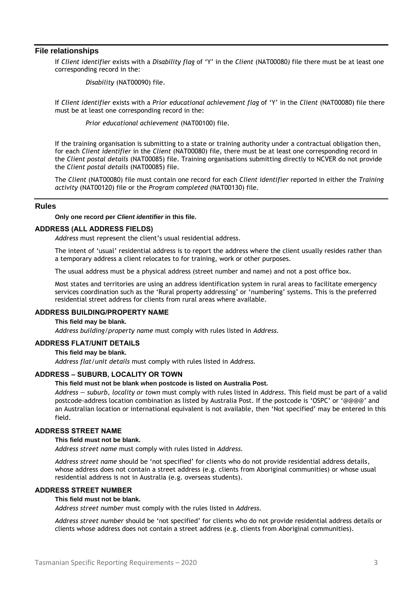#### **File relationships**

If *Client identifier* exists with a *Disability flag* of 'Y' in the *Client* (NAT00080*)* file there must be at least one corresponding record in the:

*Disability* (NAT00090) file.

If *Client identifier* exists with a *Prior educational achievement flag* of 'Y' in the *Client* (NAT00080) file there must be at least one corresponding record in the:

*Prior educational achievement* (NAT00100) file.

If the training organisation is submitting to a state or training authority under a contractual obligation then, for each *Client identifier* in the *Client* (NAT00080) file, there must be at least one corresponding record in the *Client postal details* (NAT00085) file. Training organisations submitting directly to NCVER do not provide the *Client postal details* (NAT00085) file.

The *Client* (NAT00080) file must contain one record for each *Client identifier* reported in either the *Training activity* (NAT00120) file or the *Program completed* (NAT00130) file.

#### **Rules**

**Only one record per** *Client identifier* **in this file.**

#### **ADDRESS (ALL ADDRESS FIELDS)**

*Address* must represent the client's usual residential address.

The intent of 'usual' residential address is to report the address where the client usually resides rather than a temporary address a client relocates to for training, work or other purposes.

The usual address must be a physical address (street number and name) and not a post office box.

Most states and territories are using an address identification system in rural areas to facilitate emergency services coordination such as the 'Rural property addressing' or 'numbering' systems. This is the preferred residential street address for clients from rural areas where available.

#### **ADDRESS BUILDING/PROPERTY NAME**

#### **This field may be blank.**

*Address building/property name* must comply with rules listed in *Address.*

#### **ADDRESS FLAT/UNIT DETAILS**

**This field may be blank.**

*Address flat/unit details* must comply with rules listed in *Address.*

#### **ADDRESS – SUBURB, LOCALITY OR TOWN**

#### **This field must not be blank when postcode is listed on Australia Post.**

*Address — suburb, locality or town* must comply with rules listed in *Address*. This field must be part of a valid postcode-address location combination as listed by Australia Post. If the postcode is 'OSPC' or '@@@@' and an Australian location or international equivalent is not available, then 'Not specified' may be entered in this field.

#### **ADDRESS STREET NAME**

#### **This field must not be blank.**

*Address street name* must comply with rules listed in *Address.*

*Address street name* should be 'not specified' for clients who do not provide residential address details, whose address does not contain a street address (e.g. clients from Aboriginal communities) or whose usual residential address is not in Australia (e.g. overseas students).

#### **ADDRESS STREET NUMBER**

#### **This field must not be blank.**

*Address street number* must comply with the rules listed in *Address.*

*Address street number* should be 'not specified' for clients who do not provide residential address details or clients whose address does not contain a street address (e.g. clients from Aboriginal communities).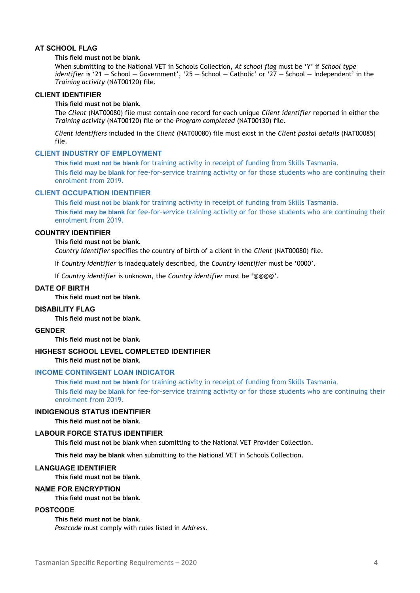#### **AT SCHOOL FLAG**

#### **This field must not be blank.**

When submitting to the National VET in Schools Collection, *At school flag* must be 'Y' if *School type identifier* is '21 — School — Government', '25 — School — Catholic' or '27 — School — Independent' in the *Training activity* (NAT00120) file.

#### **CLIENT IDENTIFIER**

#### **This field must not be blank.**

The *Client* (NAT00080) file must contain one record for each unique *Client identifier* reported in either the *Training activity* (NAT00120) file or the *Program completed* (NAT00130) file.

*Client identifiers* included in the *Client* (NAT00080) file must exist in the *Client postal details* (NAT00085) file.

#### **CLIENT INDUSTRY OF EMPLOYMENT**

**This field must not be blank** for training activity in receipt of funding from Skills Tasmania. **This field may be blank** for fee-for-service training activity or for those students who are continuing their enrolment from 2019.

#### **CLIENT OCCUPATION IDENTIFIER**

**This field must not be blank** for training activity in receipt of funding from Skills Tasmania. **This field may be blank** for fee-for-service training activity or for those students who are continuing their enrolment from 2019.

#### **COUNTRY IDENTIFIER**

#### **This field must not be blank.**

*Country identifier* specifies the country of birth of a client in the *Client* (NAT00080) file.

If *Country identifier* is inadequately described, the *Country identifier* must be '0000'.

If *Country identifier* is unknown, the *Country identifier* must be '@@@@'.

#### **DATE OF BIRTH**

**This field must not be blank.**

#### **DISABILITY FLAG**

**This field must not be blank.**

#### **GENDER**

**This field must not be blank.**

#### **HIGHEST SCHOOL LEVEL COMPLETED IDENTIFIER**

**This field must not be blank.**

#### **INCOME CONTINGENT LOAN INDICATOR**

**This field must not be blank** for training activity in receipt of funding from Skills Tasmania. **This field may be blank** for fee-for-service training activity or for those students who are continuing their enrolment from 2019.

#### **INDIGENOUS STATUS IDENTIFIER**

**This field must not be blank.**

#### **LABOUR FORCE STATUS IDENTIFIER**

**This field must not be blank** when submitting to the National VET Provider Collection.

**This field may be blank** when submitting to the National VET in Schools Collection.

#### **LANGUAGE IDENTIFIER**

**This field must not be blank.**

#### **NAME FOR ENCRYPTION**

**This field must not be blank.**

#### **POSTCODE**

#### **This field must not be blank.**

*Postcode* must comply with rules listed in *Address.*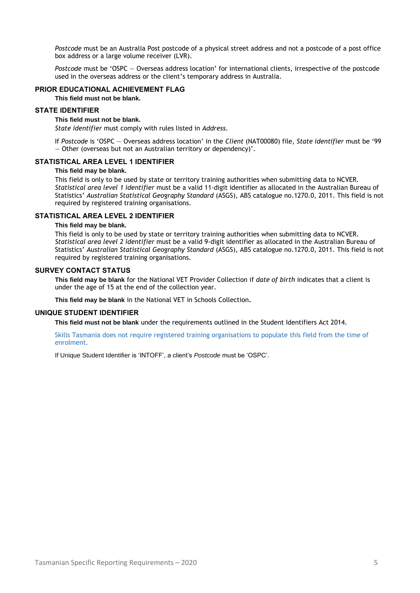*Postcode* must be an Australia Post postcode of a physical street address and not a postcode of a post office box address or a large volume receiver (LVR).

*Postcode* must be 'OSPC — Overseas address location' for international clients, irrespective of the postcode used in the overseas address or the client's temporary address in Australia.

#### **PRIOR EDUCATIONAL ACHIEVEMENT FLAG**

**This field must not be blank.**

#### **STATE IDENTIFIER**

#### **This field must not be blank.**

*State identifier* must comply with rules listed in *Address.*

If *Postcode* is 'OSPC — Overseas address location' in the *Client* (NAT00080) file, *State identifier* must be '99 — Other (overseas but not an Australian territory or dependency)'.

#### **STATISTICAL AREA LEVEL 1 IDENTIFIER**

#### **This field may be blank.**

This field is only to be used by state or territory training authorities when submitting data to NCVER. *Statistical area level 1 identifier* must be a valid 11-digit identifier as allocated in the Australian Bureau of Statistics' *Australian Statistical Geography Standard* (ASGS), ABS catalogue no.1270.0, 2011. This field is not required by registered training organisations.

#### **STATISTICAL AREA LEVEL 2 IDENTIFIER**

#### **This field may be blank.**

This field is only to be used by state or territory training authorities when submitting data to NCVER. *Statistical area level 2 identifier* must be a valid 9-digit identifier as allocated in the Australian Bureau of Statistics' *Australian Statistical Geography Standard* (ASGS), ABS catalogue no.1270.0, 2011. This field is not required by registered training organisations.

#### **SURVEY CONTACT STATUS**

**This field may be blank** for the National VET Provider Collection if *date of birth* indicates that a client is under the age of 15 at the end of the collection year.

**This field may be blank** in the National VET in Schools Collection**.**

#### **UNIQUE STUDENT IDENTIFIER**

**This field must not be blank** under the requirements outlined in the Student Identifiers Act 2014.

Skills Tasmania does not require registered training organisations to populate this field from the time of enrolment.

If Unique Student Identifier is 'INTOFF', a client's *Postcode* must be 'OSPC'.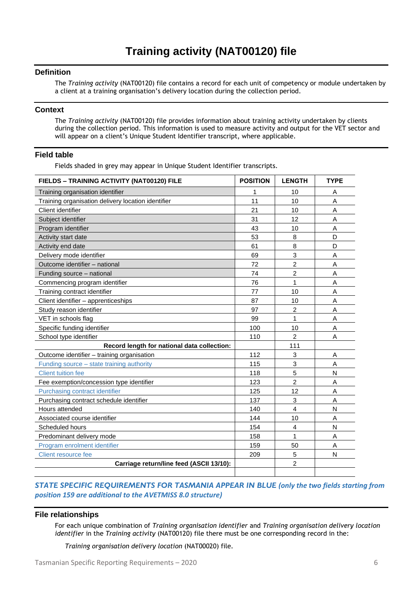#### <span id="page-8-0"></span>**Definition**

The *Training activity* (NAT00120) file contains a record for each unit of competency or module undertaken by a client at a training organisation's delivery location during the collection period.

#### **Context**

The *Training activity* (NAT00120) file provides information about training activity undertaken by clients during the collection period. This information is used to measure activity and output for the VET sector and will appear on a client's Unique Student Identifier transcript, where applicable.

#### **Field table**

Fields shaded in grey may appear in Unique Student Identifier transcripts.

| FIELDS - TRAINING ACTIVITY (NAT00120) FILE         | <b>POSITION</b> | <b>LENGTH</b>           | <b>TYPE</b> |
|----------------------------------------------------|-----------------|-------------------------|-------------|
| Training organisation identifier                   | 1               | 10                      | Α           |
| Training organisation delivery location identifier | 11              | 10                      | A           |
| Client identifier                                  | 21              | 10                      | A           |
| Subject identifier                                 | 31              | 12                      | A           |
| Program identifier                                 | 43              | 10                      | A           |
| Activity start date                                | 53              | 8                       | D           |
| Activity end date                                  | 61              | 8                       | D           |
| Delivery mode identifier                           | 69              | 3                       | A           |
| Outcome identifier - national                      | 72              | $\overline{2}$          | A           |
| Funding source - national                          | 74              | $\overline{2}$          | A           |
| Commencing program identifier                      | 76              | $\overline{1}$          | A           |
| Training contract identifier                       | 77              | 10                      | A           |
| Client identifier - apprenticeships                | 87              | 10                      | A           |
| Study reason identifier                            | 97              | 2                       | A           |
| VET in schools flag                                | 99              | 1                       | A           |
| Specific funding identifier                        | 100             | 10                      | A           |
| School type identifier                             | 110             | $\overline{2}$          | A           |
| Record length for national data collection:        |                 | 111                     |             |
| Outcome identifier - training organisation         | 112             | 3                       | A           |
| Funding source - state training authority          | 115             | 3                       | A           |
| <b>Client tuition fee</b>                          | 118             | 5                       | N           |
| Fee exemption/concession type identifier           | 123             | $\overline{c}$          | A           |
| Purchasing contract identifier                     | 125             | 12                      | A           |
| Purchasing contract schedule identifier            | 137             | 3                       | A           |
| Hours attended                                     | 140             | $\overline{4}$          | N           |
| Associated course identifier                       | 144             | 10                      | A           |
| Scheduled hours                                    | 154             | $\overline{\mathbf{4}}$ | N           |
| Predominant delivery mode                          | 158             | 1                       | A           |
| Program enrolment identifier                       | 159             | 50                      | A           |
| <b>Client resource fee</b>                         | 209             | 5                       | N           |
| Carriage return/line feed (ASCII 13/10):           |                 | $\overline{c}$          |             |

#### *STATE SPECIFIC REQUIREMENTS FOR TASMANIA APPEAR IN BLUE (only the two fields starting from position 159 are additional to the AVETMISS 8.0 structure)*

#### **File relationships**

For each unique combination of *Training organisation identifier* and *Training organisation delivery location identifier* in the *Training activity* (NAT00120) file there must be one corresponding record in the:

*Training organisation delivery location* (NAT00020) file.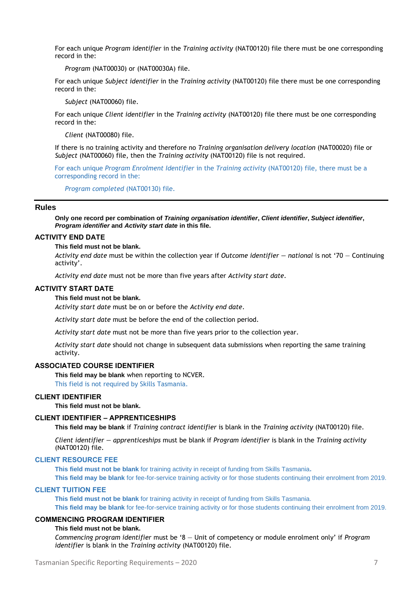For each unique *Program identifier* in the *Training activity* (NAT00120) file there must be one corresponding record in the:

*Program* (NAT00030) or (NAT00030A) file.

For each unique *Subject identifier* in the *Training activity* (NAT00120) file there must be one corresponding record in the:

*Subject* (NAT00060) file.

For each unique *Client identifier* in the *Training activity* (NAT00120) file there must be one corresponding record in the:

*Client* (NAT00080) file.

If there is no training activity and therefore no *Training organisation delivery location* (NAT00020) file or *Subject* (NAT00060) file, then the *Training activity* (NAT00120) file is not required.

For each unique *Program Enrolment Identifier* in the *Training activity* (NAT00120) file, there must be a corresponding record in the:

*Program completed* (NAT00130) file.

#### **Rules**

**Only one record per combination of** *Training organisation identifier***,** *Client identifier***,** *Subject identifier***,**  *Program identifier* **and** *Activity start date* **in this file.**

#### **ACTIVITY END DATE**

#### **This field must not be blank.**

*Activity end date* must be within the collection year if *Outcome identifier — national* is not '70 — Continuing activity'.

*Activity end date* must not be more than five years after *Activity start date*.

#### **ACTIVITY START DATE**

#### **This field must not be blank.**

*Activity start date* must be on or before the *Activity end date*.

*Activity start date* must be before the end of the collection period.

*Activity start date* must not be more than five years prior to the collection year.

*Activity start date* should not change in subsequent data submissions when reporting the same training activity.

#### **ASSOCIATED COURSE IDENTIFIER**

**This field may be blank** when reporting to NCVER.

This field is not required by Skills Tasmania.

#### **CLIENT IDENTIFIER**

**This field must not be blank.**

#### **CLIENT IDENTIFIER – APPRENTICESHIPS**

**This field may be blank** if *Training contract identifier* is blank in the *Training activity* (NAT00120) file.

*Client identifier — apprenticeships* must be blank if *Program identifier* is blank in the *Training activity* (NAT00120) file.

#### **CLIENT RESOURCE FEE**

**This field must not be blank** for training activity in receipt of funding from Skills Tasmania**.**

**This field may be blank** for fee-for-service training activity or for those students continuing their enrolment from 2019. **CLIENT TUITION FEE**

**This field must not be blank** for training activity in receipt of funding from Skills Tasmania. **This field may be blank** for fee-for-service training activity or for those students continuing their enrolment from 2019.

#### **COMMENCING PROGRAM IDENTIFIER**

#### **This field must not be blank.**

*Commencing program identifier* must be '8 — Unit of competency or module enrolment only' if *Program identifier* is blank in the *Training activity* (NAT00120) file.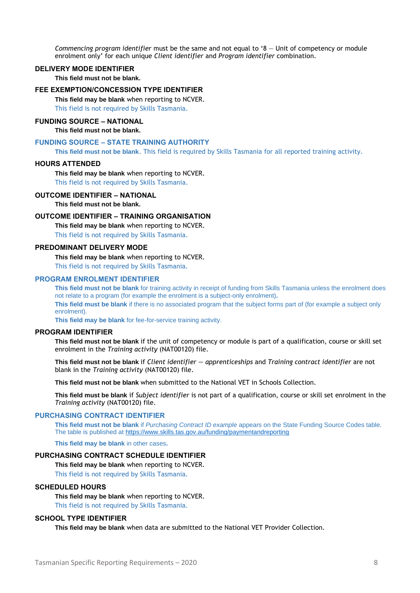*Commencing program identifier* must be the same and not equal to '8 — Unit of competency or module enrolment only' for each unique *Client identifier* and *Program identifier* combination.

#### **DELIVERY MODE IDENTIFIER**

**This field must not be blank.**

#### **FEE EXEMPTION/CONCESSION TYPE IDENTIFIER**

**This field may be blank** when reporting to NCVER.

This field is not required by Skills Tasmania.

#### **FUNDING SOURCE – NATIONAL**

**This field must not be blank.**

#### **FUNDING SOURCE – STATE TRAINING AUTHORITY**

**This field must not be blank**. This field is required by Skills Tasmania for all reported training activity.

#### **HOURS ATTENDED**

**This field may be blank** when reporting to NCVER.

This field is not required by Skills Tasmania.

#### **OUTCOME IDENTIFIER – NATIONAL**

**This field must not be blank.**

#### **OUTCOME IDENTIFIER – TRAINING ORGANISATION**

**This field may be blank** when reporting to NCVER. This field is not required by Skills Tasmania.

#### **PREDOMINANT DELIVERY MODE**

#### **This field may be blank** when reporting to NCVER.

This field is not required by Skills Tasmania.

#### **PROGRAM ENROLMENT IDENTIFIER**

**This field must not be blank** for training activity in receipt of funding from Skills Tasmania unless the enrolment does not relate to a program (for example the enrolment is a subject-only enrolment)**. This field must be blank** if there is no associated program that the subject forms part of (for example a subject only enrolment).

**This field may be blank** for fee-for-service training activity.

#### **PROGRAM IDENTIFIER**

**This field must not be blank** if the unit of competency or module is part of a qualification, course or skill set enrolment in the *Training activity* (NAT00120) file.

**This field must not be blank** if *Client identifier — apprenticeships* and *Training contract identifier* are not blank in the *Training activity* (NAT00120) file.

**This field must not be blank** when submitted to the National VET in Schools Collection.

**This field must be blank** if *Subject identifier* is not part of a qualification, course or skill set enrolment in the *Training activity* (NAT00120) file.

#### **PURCHASING CONTRACT IDENTIFIER**

**This field must not be blank** if *Purchasing Contract ID example* appears on the State Funding Source Codes table. The table is published at<https://www.skills.tas.gov.au/funding/paymentandreporting>

**This field may be blank** in other cases**.**

#### **PURCHASING CONTRACT SCHEDULE IDENTIFIER**

**This field may be blank** when reporting to NCVER.

This field is not required by Skills Tasmania.

#### **SCHEDULED HOURS**

**This field may be blank** when reporting to NCVER. This field is not required by Skills Tasmania.

#### **SCHOOL TYPE IDENTIFIER**

**This field may be blank** when data are submitted to the National VET Provider Collection.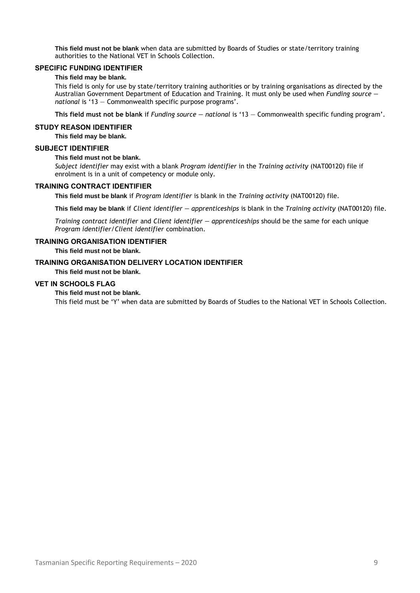**This field must not be blank** when data are submitted by Boards of Studies or state/territory training authorities to the National VET in Schools Collection.

#### **SPECIFIC FUNDING IDENTIFIER**

#### **This field may be blank.**

This field is only for use by state/territory training authorities or by training organisations as directed by the Australian Government Department of Education and Training. It must only be used when *Funding source national* is '13 — Commonwealth specific purpose programs'.

**This field must not be blank** if *Funding source — national* is '13 — Commonwealth specific funding program'.

#### **STUDY REASON IDENTIFIER**

**This field may be blank.**

#### **SUBJECT IDENTIFIER**

#### **This field must not be blank.**

*Subject identifier* may exist with a blank *Program identifier* in the *Training activity* (NAT00120) file if enrolment is in a unit of competency or module only.

#### **TRAINING CONTRACT IDENTIFIER**

**This field must be blank** if *Program identifier* is blank in the *Training activity* (NAT00120) file.

**This field may be blank** if *Client identifier — apprenticeships* is blank in the *Training activity* (NAT00120) file.

*Training contract identifier* and *Client identifier — apprenticeships* should be the same for each unique *Program identifier/Client identifier* combination.

#### **TRAINING ORGANISATION IDENTIFIER**

**This field must not be blank.**

#### **TRAINING ORGANISATION DELIVERY LOCATION IDENTIFIER**

**This field must not be blank.**

#### **VET IN SCHOOLS FLAG**

**This field must not be blank.**

This field must be 'Y' when data are submitted by Boards of Studies to the National VET in Schools Collection.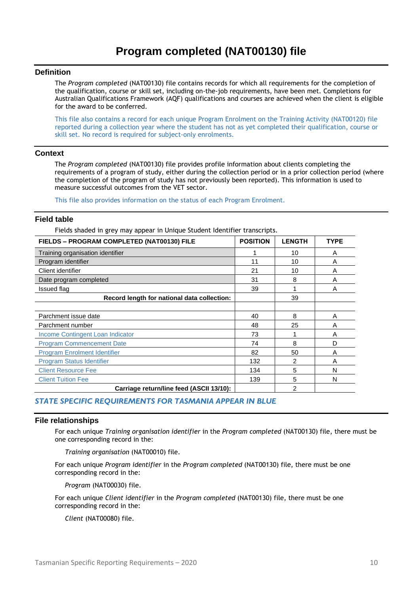#### <span id="page-12-0"></span>**Definition**

The *Program completed* (NAT00130) file contains records for which all requirements for the completion of the qualification, course or skill set, including on-the-job requirements, have been met. Completions for Australian Qualifications Framework (AQF) qualifications and courses are achieved when the client is eligible for the award to be conferred.

This file also contains a record for each unique Program Enrolment on the Training Activity (NAT00120) file reported during a collection year where the student has not as yet completed their qualification, course or skill set. No record is required for subject-only enrolments.

#### **Context**

The *Program completed* (NAT00130) file provides profile information about clients completing the requirements of a program of study, either during the collection period or in a prior collection period (where the completion of the program of study has not previously been reported). This information is used to measure successful outcomes from the VET sector.

This file also provides information on the status of each Program Enrolment.

#### **Field table**

Fields shaded in grey may appear in Unique Student Identifier transcripts.

| FIELDS - PROGRAM COMPLETED (NAT00130) FILE  | <b>POSITION</b> | <b>LENGTH</b> | <b>TYPE</b> |
|---------------------------------------------|-----------------|---------------|-------------|
| Training organisation identifier            |                 | 10            | A           |
| Program identifier                          | 11              | 10            | A           |
| Client identifier                           | 21              | 10            | A           |
| Date program completed                      | 31              | 8             | A           |
| Issued flag                                 | 39              |               | A           |
| Record length for national data collection: |                 | 39            |             |
|                                             |                 |               |             |
| Parchment issue date                        | 40              | 8             | A           |
| Parchment number                            | 48              | 25            | A           |
| Income Contingent Loan Indicator            | 73              |               | A           |
| <b>Program Commencement Date</b>            | 74              | 8             | D           |
| <b>Program Enrolment Identifier</b>         | 82              | 50            | A           |
| <b>Program Status Identifier</b>            | 132             | 2             | A           |
| <b>Client Resource Fee</b>                  | 134             | 5             | N           |
| <b>Client Tuition Fee</b>                   | 139             | 5             | N           |
| Carriage return/line feed (ASCII 13/10):    |                 | 2             |             |

#### *STATE SPECIFIC REQUIREMENTS FOR TASMANIA APPEAR IN BLUE*

#### **File relationships**

For each unique *Training organisation identifier* in the *Program completed* (NAT00130) file, there must be one corresponding record in the:

*Training organisation* (NAT00010) file.

For each unique *Program identifier* in the *Program completed* (NAT00130) file, there must be one corresponding record in the:

*Program* (NAT00030) file.

For each unique *Client identifier* in the *Program completed* (NAT00130) file, there must be one corresponding record in the:

*Client* (NAT00080) file.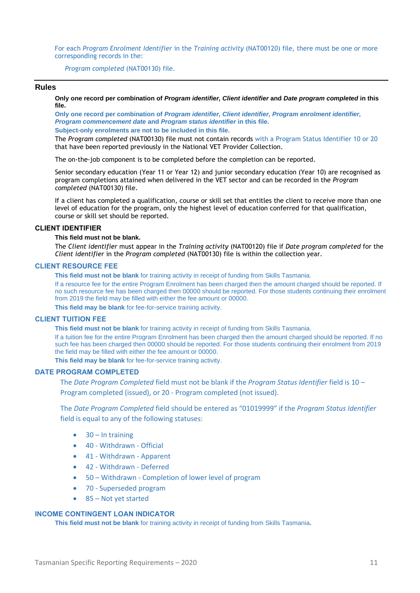For each *Program Enrolment Identifier* in the *Training activity* (NAT00120) file, there must be one or more corresponding records in the:

*Program completed* (NAT00130) file.

#### **Rules**

**Only one record per combination of** *Program identifier, Client identifier* **and** *Date program completed* **in this file.**

**Only one record per combination of** *Program identifier, Client identifier, Program enrolment identifier, Program commencement date* **and** *Program status identifier* **in this file. Subject-only enrolments are not to be included in this file.**

The *Program completed* (NAT00130) file must not contain records with a Program Status Identifier 10 or 20 that have been reported previously in the National VET Provider Collection.

The on-the-job component is to be completed before the completion can be reported.

Senior secondary education (Year 11 or Year 12) and junior secondary education (Year 10) are recognised as program completions attained when delivered in the VET sector and can be recorded in the *Program completed* (NAT00130) file.

If a client has completed a qualification, course or skill set that entitles the client to receive more than one level of education for the program, only the highest level of education conferred for that qualification, course or skill set should be reported.

#### **CLIENT IDENTIFIER**

#### **This field must not be blank.**

The *Client identifier* must appear in the *Training activity* (NAT00120) file if *Date program completed* for the *Client identifier* in the *Program completed* (NAT00130) file is within the collection year.

#### **CLIENT RESOURCE FEE**

**This field must not be blank** for training activity in receipt of funding from Skills Tasmania. If a resource fee for the entire Program Enrolment has been charged then the amount charged should be reported. If

no such resource fee has been charged then 00000 should be reported. For those students continuing their enrolment from 2019 the field may be filled with either the fee amount or 00000.

**This field may be blank** for fee-for-service training activity.

#### **CLIENT TUITION FEE**

**This field must not be blank** for training activity in receipt of funding from Skills Tasmania.

If a tuition fee for the entire Program Enrolment has been charged then the amount charged should be reported. If no such fee has been charged then 00000 should be reported. For those students continuing their enrolment from 2019 the field may be filled with either the fee amount or 00000.

**This field may be blank** for fee-for-service training activity.

#### **DATE PROGRAM COMPLETED**

The *Date Program Completed* field must not be blank if the *Program Status Identifier* field is 10 – Program completed (issued), or 20 - Program completed (not issued).

The *Date Program Completed* field should be entered as "01019999" if the *Program Status Identifier* field is equal to any of the following statuses:

- $\bullet$  30 In training
- 40 Withdrawn Official
- 41 Withdrawn Apparent
- 42 Withdrawn Deferred
- 50 Withdrawn Completion of lower level of program
- 70 Superseded program
- 85 Not yet started

#### **INCOME CONTINGENT LOAN INDICATOR**

**This field must not be blank** for training activity in receipt of funding from Skills Tasmania**.**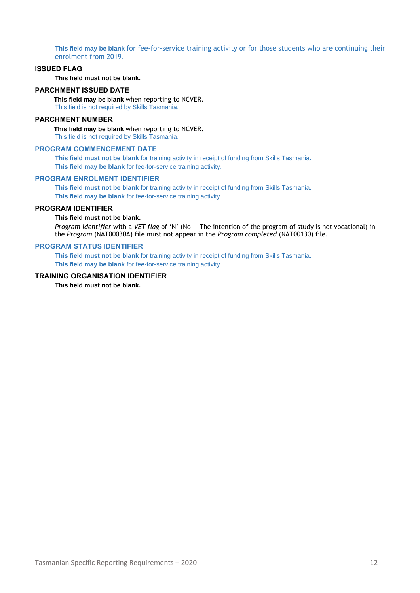**This field may be blank** for fee-for-service training activity or for those students who are continuing their enrolment from 2019.

#### **ISSUED FLAG**

**This field must not be blank.**

#### **PARCHMENT ISSUED DATE**

**This field may be blank** when reporting to NCVER. This field is not required by Skills Tasmania.

#### **PARCHMENT NUMBER**

**This field may be blank** when reporting to NCVER.

This field is not required by Skills Tasmania.

#### **PROGRAM COMMENCEMENT DATE**

**This field must not be blank** for training activity in receipt of funding from Skills Tasmania**. This field may be blank** for fee-for-service training activity.

#### **PROGRAM ENROLMENT IDENTIFIER**

**This field must not be blank** for training activity in receipt of funding from Skills Tasmania. **This field may be blank** for fee-for-service training activity.

#### **PROGRAM IDENTIFIER**

**This field must not be blank.**

*Program identifier* with a *VET flag* of 'N' (No — The intention of the program of study is not vocational) in the *Program* (NAT00030A) file must not appear in the *Program completed* (NAT00130) file.

#### **PROGRAM STATUS IDENTIFIER**

**This field must not be blank** for training activity in receipt of funding from Skills Tasmania**. This field may be blank** for fee-for-service training activity.

#### **TRAINING ORGANISATION IDENTIFIER**

**This field must not be blank.**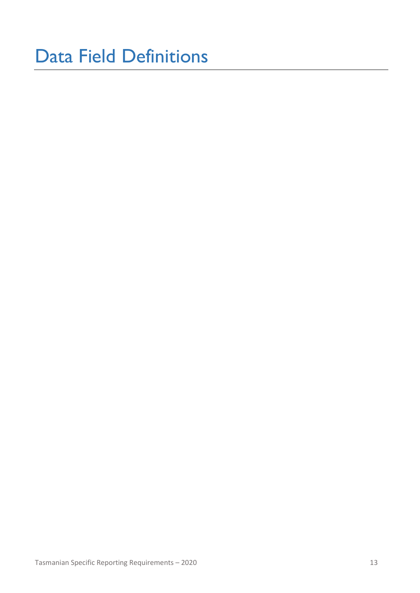# <span id="page-15-0"></span>Data Field Definitions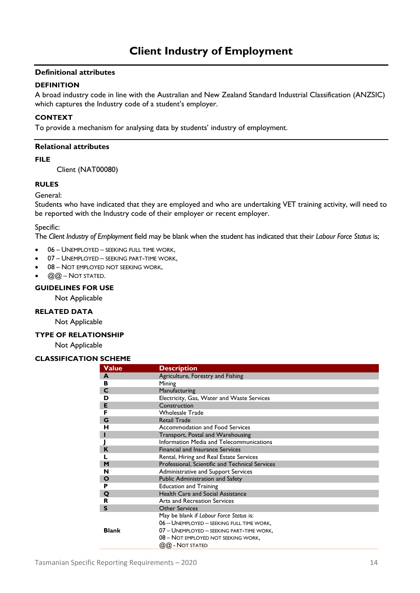#### <span id="page-16-0"></span>**DEFINITION**

A broad industry code in line with the Australian and New Zealand Standard Industrial Classification (ANZSIC) which captures the Industry code of a student's employer.

#### **CONTEXT**

To provide a mechanism for analysing data by students' industry of employment.

#### **Relational attributes**

#### **FILE**

Client (NAT00080)

#### **RULES**

General:

Students who have indicated that they are employed and who are undertaking VET training activity, will need to be reported with the Industry code of their employer or recent employer.

Specific:

The *Client Industry of Employment* field may be blank when the student has indicated that their *Labour Force Status* is;

- 06 UNEMPLOYED SEEKING FULL TIME WORK,
- 07 UNEMPLOYED SEEKING PART-TIME WORK,
- 08 NOT EMPLOYED NOT SEEKING WORK,
- $@@@$  Not stated.

#### **GUIDELINES FOR USE**

Not Applicable

#### **RELATED DATA**

Not Applicable

#### **TYPE OF RELATIONSHIP**

Not Applicable

#### **CLASSIFICATION SCHEME**

| Value        | <b>Description</b>                              |
|--------------|-------------------------------------------------|
| A            | Agriculture, Forestry and Fishing               |
| в            | Mining                                          |
| C            | Manufacturing                                   |
| D            | Electricity, Gas, Water and Waste Services      |
| E            | Construction                                    |
| F            | <b>Wholesale Trade</b>                          |
| G            | <b>Retail Trade</b>                             |
| н            | Accommodation and Food Services                 |
|              | Transport, Postal and Warehousing               |
|              | Information Media and Telecommunications        |
| K            | <b>Financial and Insurance Services</b>         |
|              | Rental, Hiring and Real Estate Services         |
| M            | Professional, Scientific and Technical Services |
| N            | Administrative and Support Services             |
| Ο            | Public Administration and Safety                |
| P            | <b>Education and Training</b>                   |
| Q            | <b>Health Care and Social Assistance</b>        |
| R            | Arts and Recreation Services                    |
| $\mathsf{s}$ | <b>Other Services</b>                           |
|              | May be blank if Labour Force Status is:         |
|              | 06 - UNEMPLOYED - SEEKING FULL TIME WORK,       |
| <b>Blank</b> | 07 - UNEMPLOYED - SEEKING PART-TIME WORK,       |
|              | 08 - NOT EMPLOYED NOT SEEKING WORK,             |
|              | $@@$ - Not stated                               |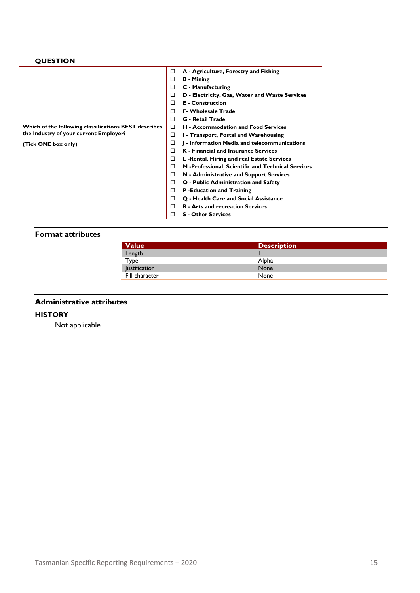### **QUESTION**

|                                                       | □ | A - Agriculture, Forestry and Fishing              |
|-------------------------------------------------------|---|----------------------------------------------------|
|                                                       | □ | <b>B</b> - Mining                                  |
|                                                       | □ | C - Manufacturing                                  |
|                                                       | □ | D - Electricity, Gas, Water and Waste Services     |
|                                                       | □ | <b>E</b> - Construction                            |
|                                                       | □ | <b>F- Wholesale Trade</b>                          |
|                                                       | □ | <b>G</b> - Retail Trade                            |
| Which of the following classifications BEST describes | □ | <b>H</b> - Accommodation and Food Services         |
| the Industry of your current Employer?                | □ | I - Transport, Postal and Warehousing              |
| (Tick ONE box only)                                   | □ | I - Information Media and telecommunications       |
|                                                       | □ | <b>K</b> - Financial and Insurance Services        |
|                                                       | □ | L -Rental, Hiring and real Estate Services         |
|                                                       | □ | M -Professional, Scientific and Technical Services |
|                                                       | □ | N - Administrative and Support Services            |
|                                                       | □ | O - Public Administration and Safety               |
|                                                       | □ | P-Education and Training                           |
|                                                       | □ | Q - Health Care and Social Assistance              |
|                                                       | □ | <b>R</b> - Arts and recreation Services            |
|                                                       | П | <b>S</b> - Other Services                          |

#### **Format attributes**

| <b>Value</b>         | <b>Description</b> |
|----------------------|--------------------|
| Length               |                    |
| Туре                 | Alpha              |
| <b>Justification</b> | <b>None</b>        |
| Fill character       | None               |

**Administrative attributes**

#### **HISTORY**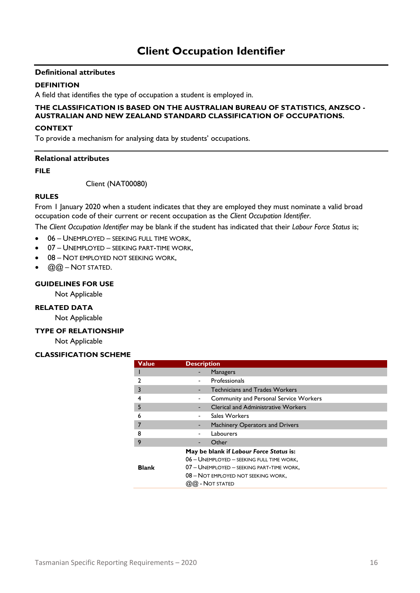#### <span id="page-18-0"></span>**DEFINITION**

A field that identifies the type of occupation a student is employed in.

#### **THE CLASSIFICATION IS BASED ON THE AUSTRALIAN BUREAU OF STATISTICS, ANZSCO - AUSTRALIAN AND NEW ZEALAND STANDARD CLASSIFICATION OF OCCUPATIONS.**

#### **CONTEXT**

To provide a mechanism for analysing data by students' occupations.

#### **Relational attributes**

#### **FILE**

Client (NAT00080)

#### **RULES**

From 1 January 2020 when a student indicates that they are employed they must nominate a valid broad occupation code of their current or recent occupation as the *Client Occupation Identifier*.

The *Client Occupation Identifier* may be blank if the student has indicated that their *Labour Force Status* is;

- 06 UNEMPLOYED SEEKING FULL TIME WORK,
- 07 UNEMPLOYED SEEKING PART-TIME WORK,
- 08 NOT EMPLOYED NOT SEEKING WORK,
- $@@-NOT$  STATED.

#### **GUIDELINES FOR USE**

Not Applicable

#### **RELATED DATA**

Not Applicable

#### **TYPE OF RELATIONSHIP**

Not Applicable

#### **CLASSIFICATION SCHEME**

| Value        | <b>Description</b>                                                                                                                                                                                   |
|--------------|------------------------------------------------------------------------------------------------------------------------------------------------------------------------------------------------------|
|              | <b>Managers</b>                                                                                                                                                                                      |
|              | Professionals                                                                                                                                                                                        |
| 3            | <b>Technicians and Trades Workers</b>                                                                                                                                                                |
| 4            | <b>Community and Personal Service Workers</b>                                                                                                                                                        |
| 5            | <b>Clerical and Administrative Workers</b>                                                                                                                                                           |
| 6            | Sales Workers                                                                                                                                                                                        |
|              | <b>Machinery Operators and Drivers</b>                                                                                                                                                               |
| 8            | Labourers                                                                                                                                                                                            |
| 9            | Other                                                                                                                                                                                                |
| <b>Blank</b> | May be blank if Labour Force Status is:<br>06 - UNEMPLOYED - SEEKING FULL TIME WORK.<br>07 - UNEMPLOYED - SEEKING PART-TIME WORK.<br>08 - NOT EMPLOYED NOT SEEKING WORK,<br>$(2)$ $(2)$ - Not stated |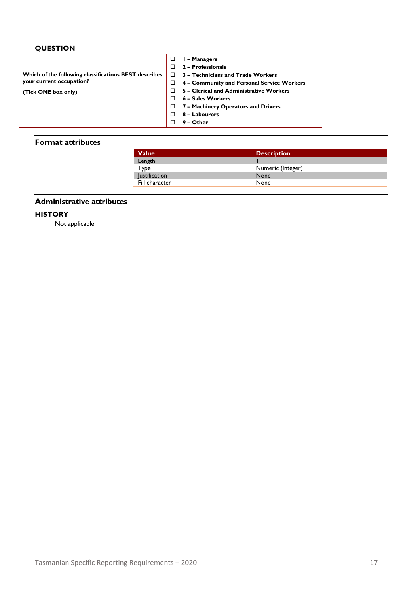### **QUESTION**

|                                                       | □  | I - Managers                               |
|-------------------------------------------------------|----|--------------------------------------------|
|                                                       |    | 2 - Professionals                          |
| Which of the following classifications BEST describes | n. | 3 – Technicians and Trade Workers          |
| your current occupation?                              |    | 4 - Community and Personal Service Workers |
| (Tick ONE box only)                                   |    | 5 - Clerical and Administrative Workers    |
|                                                       |    | 6 – Sales Workers                          |
|                                                       |    | 7 - Machinery Operators and Drivers        |
|                                                       |    | 8 - Labourers                              |
|                                                       |    | $9 -$ Other                                |
|                                                       |    |                                            |

#### **Format attributes**

| <b>Description</b> |  |
|--------------------|--|
|                    |  |
| Numeric (Integer)  |  |
| None               |  |
| None               |  |
|                    |  |

### **Administrative attributes**

#### **HISTORY**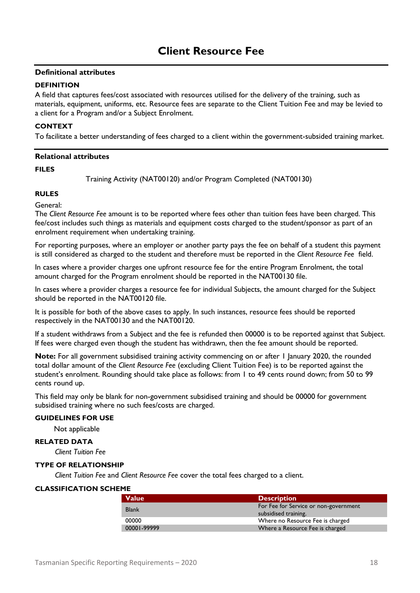#### <span id="page-20-0"></span>**DEFINITION**

A field that captures fees/cost associated with resources utilised for the delivery of the training, such as materials, equipment, uniforms, etc. Resource fees are separate to the Client Tuition Fee and may be levied to a client for a Program and/or a Subject Enrolment.

#### **CONTEXT**

To facilitate a better understanding of fees charged to a client within the government-subsided training market.

#### **Relational attributes**

#### **FILES**

Training Activity (NAT00120) and/or Program Completed (NAT00130)

#### **RULES**

General:

The *Client Resource Fee* amount is to be reported where fees other than tuition fees have been charged. This fee/cost includes such things as materials and equipment costs charged to the student/sponsor as part of an enrolment requirement when undertaking training.

For reporting purposes, where an employer or another party pays the fee on behalf of a student this payment is still considered as charged to the student and therefore must be reported in the *Client Resource Fee* field.

In cases where a provider charges one upfront resource fee for the entire Program Enrolment, the total amount charged for the Program enrolment should be reported in the NAT00130 file.

In cases where a provider charges a resource fee for individual Subjects, the amount charged for the Subject should be reported in the NAT00120 file.

It is possible for both of the above cases to apply. In such instances, resource fees should be reported respectively in the NAT00130 and the NAT00120.

If a student withdraws from a Subject and the fee is refunded then 00000 is to be reported against that Subject. If fees were charged even though the student has withdrawn, then the fee amount should be reported.

**Note:** For all government subsidised training activity commencing on or after 1 January 2020, the rounded total dollar amount of the *Client Resource Fee* (excluding Client Tuition Fee) is to be reported against the student's enrolment. Rounding should take place as follows: from 1 to 49 cents round down; from 50 to 99 cents round up.

This field may only be blank for non-government subsidised training and should be 00000 for government subsidised training where no such fees/costs are charged.

#### **GUIDELINES FOR USE**

Not applicable

#### **RELATED DATA**

*Client Tuition Fee*

#### **TYPE OF RELATIONSHIP**

*Client Tuition Fee* and *Client Resource Fee* cover the total fees charged to a client.

#### **CLASSIFICATION SCHEME**

| <b>Value</b> | <b>Description</b>                    |
|--------------|---------------------------------------|
| <b>Blank</b> | For Fee for Service or non-government |
|              | subsidised training.                  |
| 00000        | Where no Resource Fee is charged      |
| 00001-99999  | Where a Resource Fee is charged       |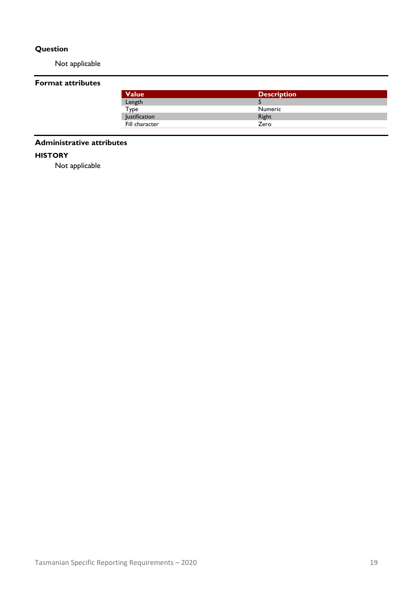### **Question**

Not applicable

### **Format attributes**

| Value          | <b>Description</b> |  |
|----------------|--------------------|--|
| Length         |                    |  |
| Type           | <b>Numeric</b>     |  |
| lustification  | Right              |  |
| Fill character | Zero               |  |

#### **Administrative attributes**

#### **HISTORY**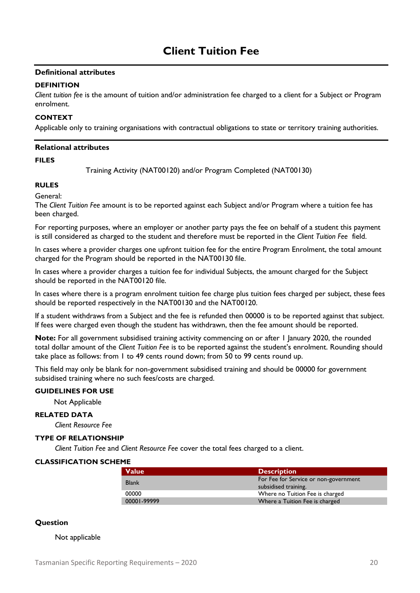#### <span id="page-22-0"></span>**DEFINITION**

*Client tuition fee* is the amount of tuition and/or administration fee charged to a client for a Subject or Program enrolment.

#### **CONTEXT**

Applicable only to training organisations with contractual obligations to state or territory training authorities.

#### **Relational attributes**

#### **FILES**

Training Activity (NAT00120) and/or Program Completed (NAT00130)

#### **RULES**

General:

The *Client Tuition Fee* amount is to be reported against each Subject and/or Program where a tuition fee has been charged.

For reporting purposes, where an employer or another party pays the fee on behalf of a student this payment is still considered as charged to the student and therefore must be reported in the *Client Tuition Fee* field.

In cases where a provider charges one upfront tuition fee for the entire Program Enrolment, the total amount charged for the Program should be reported in the NAT00130 file.

In cases where a provider charges a tuition fee for individual Subjects, the amount charged for the Subject should be reported in the NAT00120 file.

In cases where there is a program enrolment tuition fee charge plus tuition fees charged per subject, these fees should be reported respectively in the NAT00130 and the NAT00120.

If a student withdraws from a Subject and the fee is refunded then 00000 is to be reported against that subject. If fees were charged even though the student has withdrawn, then the fee amount should be reported.

**Note:** For all government subsidised training activity commencing on or after 1 January 2020, the rounded total dollar amount of the *Client Tuition Fee* is to be reported against the student's enrolment. Rounding should take place as follows: from 1 to 49 cents round down; from 50 to 99 cents round up.

This field may only be blank for non-government subsidised training and should be 00000 for government subsidised training where no such fees/costs are charged.

#### **GUIDELINES FOR USE**

Not Applicable

#### **RELATED DATA**

*Client Resource Fee*

#### **TYPE OF RELATIONSHIP**

*Client Tuition Fee* and *Client Resource Fee* cover the total fees charged to a client.

#### **CLASSIFICATION SCHEME**

| <b>Value</b> | <b>Description</b>                    |
|--------------|---------------------------------------|
| <b>Blank</b> | For Fee for Service or non-government |
|              | subsidised training.                  |
| 00000        | Where no Tuition Fee is charged       |
| 00001-99999  | Where a Tuition Fee is charged        |

#### **Question**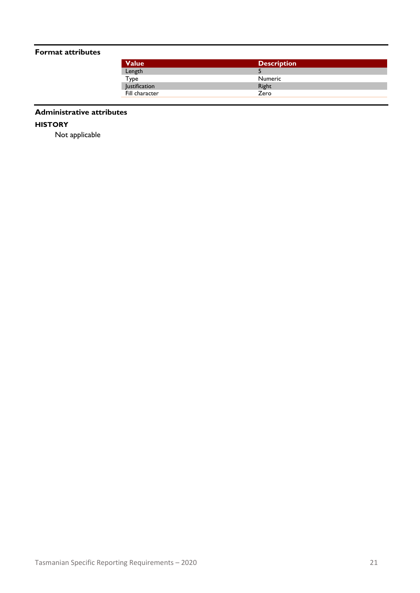#### **Format attributes**

| <b>Value</b>   | <b>Description</b> |  |
|----------------|--------------------|--|
| Length         |                    |  |
| Type           | <b>Numeric</b>     |  |
| Justification  | Right              |  |
| Fill character | Zero               |  |
|                |                    |  |

#### **Administrative attributes**

**HISTORY**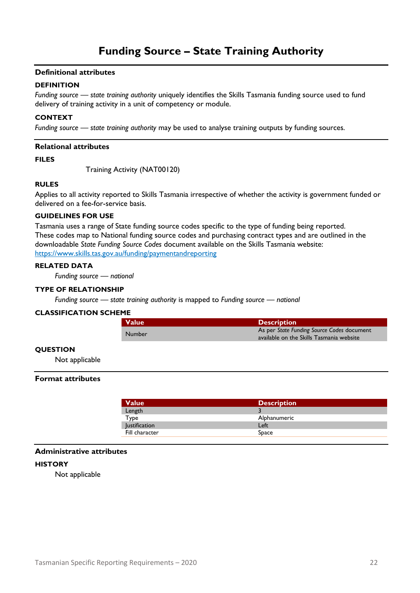#### <span id="page-24-0"></span>**DEFINITION**

*Funding source — state training authority* uniquely identifies the Skills Tasmania funding source used to fund delivery of training activity in a unit of competency or module.

#### **CONTEXT**

*Funding source — state training authority* may be used to analyse training outputs by funding sources.

#### **Relational attributes**

**FILES**

Training Activity (NAT00120)

#### **RULES**

Applies to all activity reported to Skills Tasmania irrespective of whether the activity is government funded or delivered on a fee-for-service basis.

#### **GUIDELINES FOR USE**

Tasmania uses a range of State funding source codes specific to the type of funding being reported. These codes map to National funding source codes and purchasing contract types and are outlined in the downloadable *State Funding Source Codes* document available on the Skills Tasmania website: <https://www.skills.tas.gov.au/funding/paymentandreporting>

#### **RELATED DATA**

*Funding source — national*

#### **TYPE OF RELATIONSHIP**

*Funding source — state training authority* is mapped to *Funding source — national*

#### **CLASSIFICATION SCHEME**

| <b>Value</b> | <b>Description</b>                                                                     |
|--------------|----------------------------------------------------------------------------------------|
| Number       | As per State Funding Source Codes document<br>available on the Skills Tasmania website |

#### **QUESTION**

Not applicable

#### **Format attributes**

| <b>Description</b> |  |
|--------------------|--|
|                    |  |
| Alphanumeric       |  |
| Left               |  |
| Space              |  |
|                    |  |

#### **Administrative attributes**

#### **HISTORY**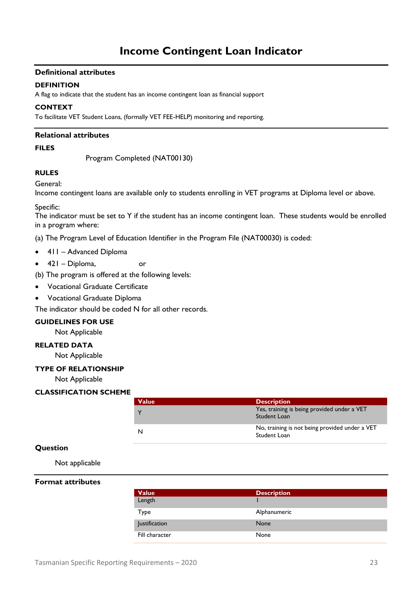#### <span id="page-25-0"></span>**DEFINITION**

A flag to indicate that the student has an income contingent loan as financial support

#### **CONTEXT**

To facilitate VET Student Loans, (formally VET FEE-HELP) monitoring and reporting.

#### **Relational attributes**

#### **FILES**

Program Completed (NAT00130)

## **RULES**

General:

Income contingent loans are available only to students enrolling in VET programs at Diploma level or above.

#### Specific:

The indicator must be set to Y if the student has an income contingent loan. These students would be enrolled in a program where:

(a) The Program Level of Education Identifier in the Program File (NAT00030) is coded:

- 411 Advanced Diploma
- 421 Diploma, or
- (b) The program is offered at the following levels:
- Vocational Graduate Certificate
- Vocational Graduate Diploma

The indicator should be coded N for all other records.

#### **GUIDELINES FOR USE**

Not Applicable

#### **RELATED DATA**

Not Applicable

#### **TYPE OF RELATIONSHIP**

Not Applicable

#### **CLASSIFICATION SCHEME**

| <b>Value</b> | <b>Description</b>                                             |
|--------------|----------------------------------------------------------------|
|              | Yes, training is being provided under a VET<br>Student Loan    |
|              | No, training is not being provided under a VET<br>Student Loan |

#### **Question**

Not applicable

#### **Format attributes**

| <b>Value</b>   | <b>Description</b> |
|----------------|--------------------|
| Length         |                    |
| Type           | Alphanumeric       |
| Justification  | None               |
| Fill character | None               |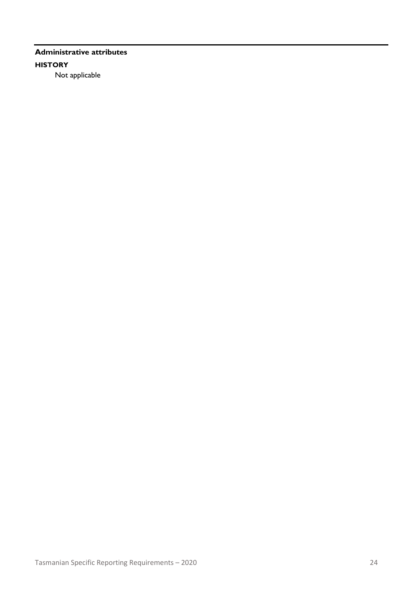### **Administrative attributes HISTORY** Not applicable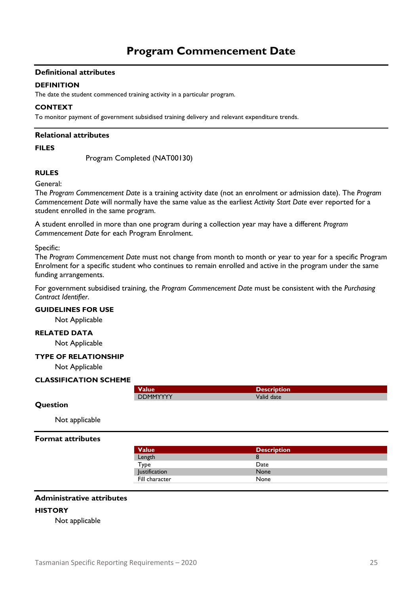#### <span id="page-27-0"></span>**DEFINITION**

The date the student commenced training activity in a particular program.

#### **CONTEXT**

To monitor payment of government subsidised training delivery and relevant expenditure trends.

#### **Relational attributes**

#### **FILES**

Program Completed (NAT00130)

# **RULES**

#### General:

The *Program Commencement Date* is a training activity date (not an enrolment or admission date). The *Program Commencement Date* will normally have the same value as the earliest *Activity Start Date* ever reported for a student enrolled in the same program.

A student enrolled in more than one program during a collection year may have a different *Program Commencement Date* for each Program Enrolment.

#### Specific:

The *Program Commencement Date* must not change from month to month or year to year for a specific Program Enrolment for a specific student who continues to remain enrolled and active in the program under the same funding arrangements.

For government subsidised training, the *Program Commencement Date* must be consistent with the *Purchasing Contract Identifier*.

#### **GUIDELINES FOR USE**

Not Applicable

#### **RELATED DATA**

Not Applicable

#### **TYPE OF RELATIONSHIP**

Not Applicable

#### **CLASSIFICATION SCHEME**

| alue            | ition'     |  |
|-----------------|------------|--|
| <b>DDMMYYYY</b> | Valid date |  |

#### **Question**

Not applicable

#### **Format attributes**

| <b>Value</b>         | <b>Description</b> |  |
|----------------------|--------------------|--|
| Length               |                    |  |
| Type                 | Date               |  |
| <b>Justification</b> | None               |  |
| Fill character       | None               |  |

#### **Administrative attributes**

#### **HISTORY**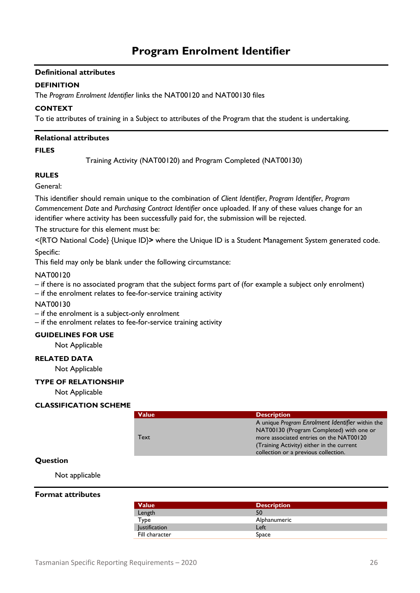#### <span id="page-28-0"></span>**DEFINITION**

The *Program Enrolment Identifier* links the NAT00120 and NAT00130 files

#### **CONTEXT**

To tie attributes of training in a Subject to attributes of the Program that the student is undertaking.

#### **Relational attributes**

#### **FILES**

Training Activity (NAT00120) and Program Completed (NAT00130)

#### **RULES**

General:

This identifier should remain unique to the combination of *Client Identifier*, *Program Identifier*, *Program Commencement Date* and *Purchasing Contract Identifier* once uploaded. If any of these values change for an identifier where activity has been successfully paid for, the submission will be rejected.

The structure for this element must be:

<{RTO National Code} {Unique ID}**>** where the Unique ID is a Student Management System generated code.

Specific:

This field may only be blank under the following circumstance:

NAT00120

– if there is no associated program that the subject forms part of (for example a subject only enrolment)

– if the enrolment relates to fee-for-service training activity

#### NAT00130

– if the enrolment is a subject-only enrolment

– if the enrolment relates to fee-for-service training activity

#### **GUIDELINES FOR USE**

Not Applicable

#### **RELATED DATA**

Not Applicable

#### **TYPE OF RELATIONSHIP**

Not Applicable

#### **CLASSIFICATION SCHEME**

| <b>Value</b> | <b>Description</b>                               |
|--------------|--------------------------------------------------|
|              | A unique Program Enrolment Identifier within the |
|              | NAT00130 (Program Completed) with one or         |
| Text         | more associated entries on the NAT00120          |
|              | (Training Activity) either in the current        |
|              | collection or a previous collection.             |

#### **Question**

Not applicable

#### **Format attributes**

| <b>Value</b>         | <b>Description</b> |
|----------------------|--------------------|
| Length               | 50                 |
| Type                 | Alphanumeric       |
| <b>Justification</b> | Left               |
| Fill character       | Space              |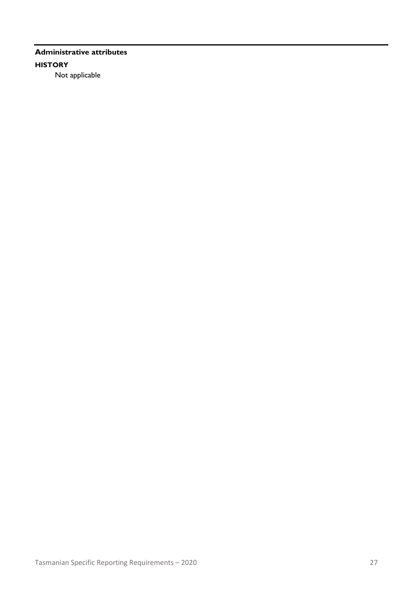### **Administrative attributes HISTORY** Not applicable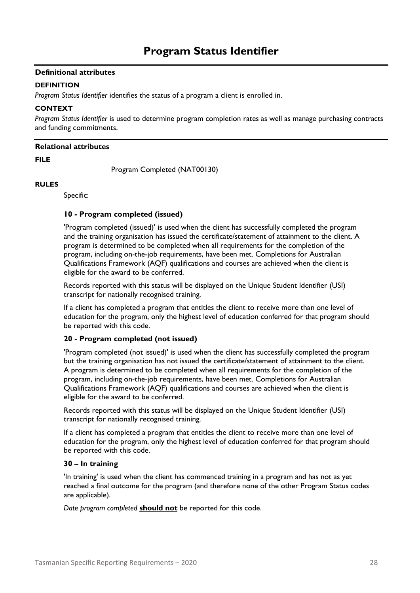#### <span id="page-30-0"></span>**DEFINITION**

*Program Status Identifier* identifies the status of a program a client is enrolled in.

#### **CONTEXT**

*Program Status Identifier* is used to determine program completion rates as well as manage purchasing contracts and funding commitments.

#### **Relational attributes**

**FILE**

Program Completed (NAT00130)

#### **RULES**

Specific:

#### **10 - Program completed (issued)**

'Program completed (issued)' is used when the client has successfully completed the program and the training organisation has issued the certificate/statement of attainment to the client. A program is determined to be completed when all requirements for the completion of the program, including on-the-job requirements, have been met. Completions for Australian Qualifications Framework (AQF) qualifications and courses are achieved when the client is eligible for the award to be conferred.

Records reported with this status will be displayed on the Unique Student Identifier (USI) transcript for nationally recognised training.

If a client has completed a program that entitles the client to receive more than one level of education for the program, only the highest level of education conferred for that program should be reported with this code.

#### **20 - Program completed (not issued)**

'Program completed (not issued)' is used when the client has successfully completed the program but the training organisation has not issued the certificate/statement of attainment to the client. A program is determined to be completed when all requirements for the completion of the program, including on-the-job requirements, have been met. Completions for Australian Qualifications Framework (AQF) qualifications and courses are achieved when the client is eligible for the award to be conferred.

Records reported with this status will be displayed on the Unique Student Identifier (USI) transcript for nationally recognised training.

If a client has completed a program that entitles the client to receive more than one level of education for the program, only the highest level of education conferred for that program should be reported with this code.

#### **30 – In training**

'In training' is used when the client has commenced training in a program and has not as yet reached a final outcome for the program (and therefore none of the other Program Status codes are applicable).

*Date program completed* **should not** be reported for this code.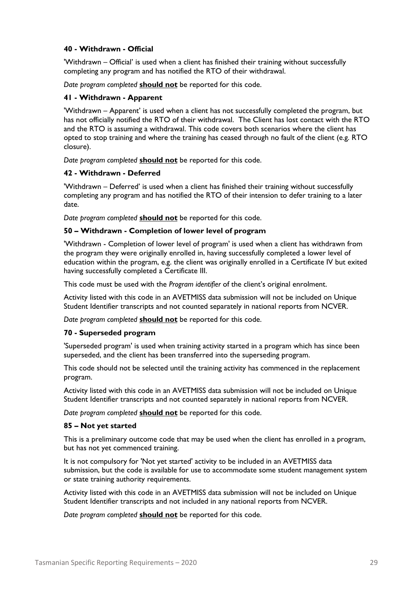#### **40 - Withdrawn - Official**

'Withdrawn – Official' is used when a client has finished their training without successfully completing any program and has notified the RTO of their withdrawal.

*Date program completed* **should not** be reported for this code.

#### **41 - Withdrawn - Apparent**

'Withdrawn – Apparent' is used when a client has not successfully completed the program, but has not officially notified the RTO of their withdrawal. The Client has lost contact with the RTO and the RTO is assuming a withdrawal. This code covers both scenarios where the client has opted to stop training and where the training has ceased through no fault of the client (e.g. RTO closure).

*Date program completed* **should not** be reported for this code.

#### **42 - Withdrawn - Deferred**

'Withdrawn – Deferred' is used when a client has finished their training without successfully completing any program and has notified the RTO of their intension to defer training to a later date.

*Date program completed* **should not** be reported for this code.

#### **50 – Withdrawn - Completion of lower level of program**

'Withdrawn - Completion of lower level of program' is used when a client has withdrawn from the program they were originally enrolled in, having successfully completed a lower level of education within the program, e.g. the client was originally enrolled in a Certificate IV but exited having successfully completed a Certificate III.

This code must be used with the *Program identifier* of the client's original enrolment.

Activity listed with this code in an AVETMISS data submission will not be included on Unique Student Identifier transcripts and not counted separately in national reports from NCVER.

*Date program completed* **should not** be reported for this code.

#### **70 - Superseded program**

'Superseded program' is used when training activity started in a program which has since been superseded, and the client has been transferred into the superseding program.

This code should not be selected until the training activity has commenced in the replacement program.

Activity listed with this code in an AVETMISS data submission will not be included on Unique Student Identifier transcripts and not counted separately in national reports from NCVER.

*Date program completed* **should not** be reported for this code.

#### **85 – Not yet started**

This is a preliminary outcome code that may be used when the client has enrolled in a program, but has not yet commenced training.

It is not compulsory for 'Not yet started' activity to be included in an AVETMISS data submission, but the code is available for use to accommodate some student management system or state training authority requirements.

Activity listed with this code in an AVETMISS data submission will not be included on Unique Student Identifier transcripts and not included in any national reports from NCVER.

*Date program completed* **should not** be reported for this code.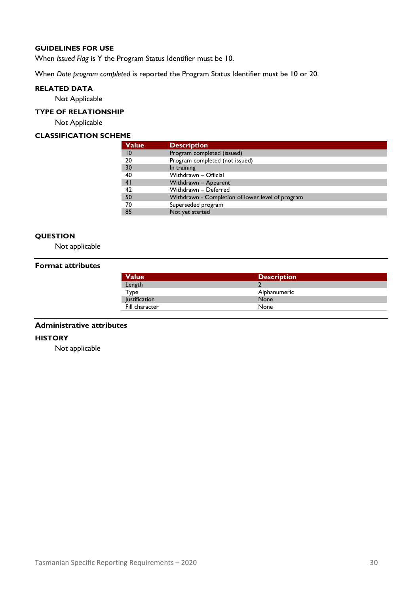#### **GUIDELINES FOR USE**

When *Issued Flag* is Y the Program Status Identifier must be 10.

When *Date program completed* is reported the Program Status Identifier must be 10 or 20.

#### **RELATED DATA**

Not Applicable

#### **TYPE OF RELATIONSHIP**

Not Applicable

#### **CLASSIFICATION SCHEME**

| <b>Value</b> | <b>Description</b>                               |  |
|--------------|--------------------------------------------------|--|
| 10           | Program completed (issued)                       |  |
| 20           | Program completed (not issued)                   |  |
| 30           | In training                                      |  |
| 40           | Withdrawn - Official                             |  |
| 41           | Withdrawn - Apparent                             |  |
| 42           | Withdrawn - Deferred                             |  |
| 50           | Withdrawn - Completion of lower level of program |  |
| 70           | Superseded program                               |  |
| 85           | Not yet started                                  |  |
|              |                                                  |  |

#### **QUESTION**

Not applicable

#### **Format attributes**

| <b>Value</b>         | <b>Description</b> |
|----------------------|--------------------|
| Length               |                    |
| Type                 | Alphanumeric       |
| <b>Justification</b> | None               |
| Fill character       | None               |

#### **Administrative attributes**

#### **HISTORY**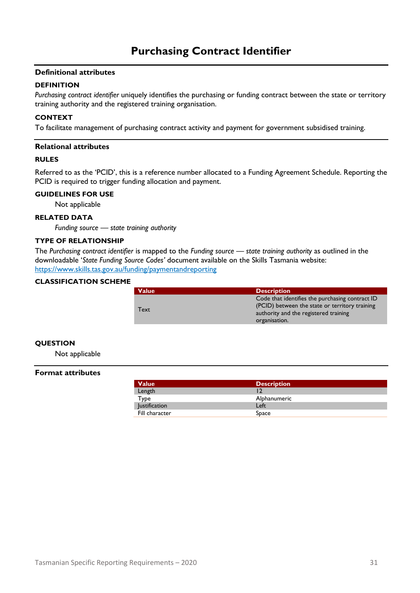#### <span id="page-33-0"></span>**DEFINITION**

*Purchasing contract identifier* uniquely identifies the purchasing or funding contract between the state or territory training authority and the registered training organisation.

#### **CONTEXT**

To facilitate management of purchasing contract activity and payment for government subsidised training.

#### **Relational attributes**

#### **RULES**

Referred to as the 'PCID', this is a reference number allocated to a Funding Agreement Schedule. Reporting the PCID is required to trigger funding allocation and payment.

#### **GUIDELINES FOR USE**

Not applicable

#### **RELATED DATA**

*Funding source — state training authority* 

#### **TYPE OF RELATIONSHIP**

The *Purchasing contract identifier* is mapped to the *Funding source — state training authority* as outlined in the downloadable '*State Funding Source Codes'* document available on the Skills Tasmania website: <https://www.skills.tas.gov.au/funding/paymentandreporting>

#### **CLASSIFICATION SCHEME**

| <b>Value</b> | <b>Description</b>                                                                                                                                          |
|--------------|-------------------------------------------------------------------------------------------------------------------------------------------------------------|
| Text         | Code that identifies the purchasing contract ID<br>(PCID) between the state or territory training<br>authority and the registered training<br>organisation. |
|              |                                                                                                                                                             |

#### **QUESTION**

Not applicable

#### **Format attributes**

| <b>Value</b>         | Description  |
|----------------------|--------------|
| Length               |              |
| Type                 | Alphanumeric |
| <b>Justification</b> | Left         |
| Fill character       | Space        |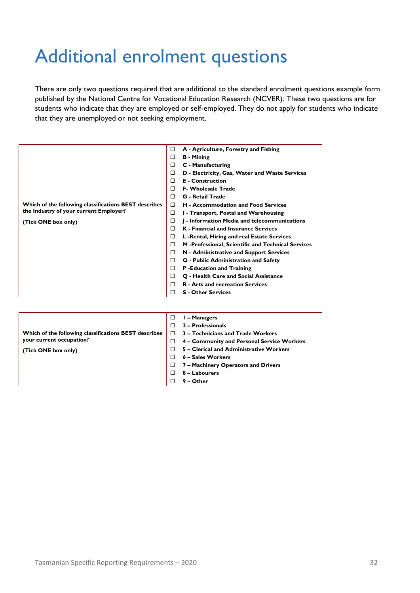# <span id="page-34-0"></span>Additional enrolment questions

There are only two questions required that are additional to the standard enrolment questions example form published by the National Centre for Vocational Education Research (NCVER). These two questions are for students who indicate that they are employed or self-employed. They do not apply for students who indicate that they are unemployed or not seeking employment.

|                                                       | □ | A - Agriculture, Forestry and Fishing              |
|-------------------------------------------------------|---|----------------------------------------------------|
|                                                       | □ | <b>B</b> - Mining                                  |
|                                                       | □ | C - Manufacturing                                  |
|                                                       | □ | D - Electricity, Gas, Water and Waste Services     |
|                                                       | п | <b>E</b> - Construction                            |
|                                                       | П | <b>F. Wholesale Trade</b>                          |
|                                                       | п | <b>G</b> - Retail Trade                            |
| Which of the following classifications BEST describes | □ | <b>H</b> - Accommodation and Food Services         |
| the Industry of your current Employer?                | □ | 1 - Transport, Postal and Warehousing              |
| (Tick ONE box only)                                   | □ | J - Information Media and telecommunications       |
|                                                       | П | <b>K</b> - Financial and Insurance Services        |
|                                                       | □ | L -Rental, Hiring and real Estate Services         |
|                                                       | □ | M -Professional, Scientific and Technical Services |
|                                                       | □ | N - Administrative and Support Services            |
|                                                       | □ | O - Public Administration and Safety               |
|                                                       | □ | P-Education and Training                           |
|                                                       | □ | Q - Health Care and Social Assistance              |
|                                                       | П | <b>R</b> - Arts and recreation Services            |
|                                                       | п | <b>S</b> - Other Services                          |

| Which of the following classifications BEST describes | I – Managers<br>□<br>2 – Professionals<br>П<br>3 – Technicians and Trade Workers<br>П                                     |
|-------------------------------------------------------|---------------------------------------------------------------------------------------------------------------------------|
| your current occupation?<br>(Tick ONE box only)       | 4 – Community and Personal Service Workers<br>□<br>5 - Clerical and Administrative Workers<br>П<br>6 – Sales Workers<br>П |
|                                                       | 7 - Machinery Operators and Drivers<br>□                                                                                  |
|                                                       | 8 - Labourers                                                                                                             |
|                                                       | 9 – Other                                                                                                                 |
|                                                       |                                                                                                                           |